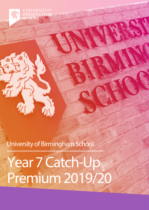**UNIVERSITYOF** SCHOOL

University of Birmingham School

Year 7 Catch-Up Premium 2019/20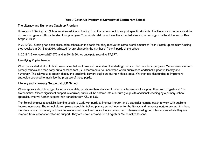# **Year 7 Catch-Up Premium at University of Birmingham School**

#### **The Literacy and Numeracy Catch-up Premium**

University of Birmingham School receives additional funding from the government to support specific students. The literacy and numeracy catchup premium gives additional funding to support year 7 pupils who did not achieve the expected standard in reading or maths at the end of Key Stage 2 (KS2).

In 2019/20, funding has been allocated to schools on the basis that they receive the same overall amount of Year 7 catch-up premium funding they received in 2018 to 2019, adjusted for any change in the number of Year 7 pupils at the school.

In 2018/19 we received  $£7,677$  and in 2019/20, we anticipate receiving £7,677.

## **Identifying Pupils' Needs**

When pupils start at UoB School, we ensure that we know and understand the starting points for their academic progress. We receive data from primary schools and then carry out a baseline test (GL assessments) to understand which pupils need additional support in literacy and numeracy. This allows us to clearly identify the academic barriers pupils are facing in these areas. We then use this funding to implement strategies designed to maximise the progress of these pupils.

## **Literacy and Numeracy Support at UoB School**

Where appropriate, following collation of initial data, pupils are then allocated to specific interventions to support them with English and / or Mathematics. Where significant support is required, pupils will be entered into a nurture group with additional teaching by a primary-school specialist, who will further support their transition from KS2 to KS3.

The School employs a specialist learning coach to work with pupils to improve literacy, and a specialist learning coach to work with pupils to improve numeracy. The school also employs a specialist trained primary school teacher for the literacy and numeracy nurture groups. It is these members of staff who carry out the interventions with identified pupils. Pupils benefit from intensive small group interventions where they are removed from lessons for catch-up support. They are never removed from English or Mathematics lessons.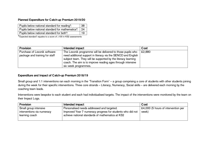## **Planned Expenditure for Catch-up Premium 2019/20**

| Pupils below national standard for reading*:        | 38 |
|-----------------------------------------------------|----|
| Pupils below national standard for mathematics*: 24 |    |
| Pupils below national standard for both*:           | 19 |

\*'Expected standard' equates to a score of ≥100 in KS2 assessments

| <b>Provision</b>               | Intended impact                                               | Cost   |
|--------------------------------|---------------------------------------------------------------|--------|
| Purchase of Lexonik software   | The Lexonik programme will be delivered to those pupils who   | £2,880 |
| package and training for staff | need additional support in literacy via the SENCO and English |        |
|                                | subject team. They will be supported by the literacy learning |        |
|                                | coach. The aim is to improve reading ages through intensive   |        |
|                                | six-week programmes.                                          |        |

#### **Expenditure and Impact of Catch-up Premium 2018/19**

Small group and 1:1 interventions ran each morning in the 'Transition Form' – a group comprising a core of students with other students joining during the week for their specific interventions. Three core strands – Literacy, Numeracy, Social skills – are delivered each morning by the coaching team leads.

Interventions were bespoke to each student and each had individualised targets. The impact of the interventions were monitored by the team on their Impact Logs.

| <b>Provision</b>           | Intended impact                                            | Cost                                |
|----------------------------|------------------------------------------------------------|-------------------------------------|
| Small group intensive      | Personalised needs addressed and targeted.                 | £4,000 (5 hours of intervention per |
| interventions via numeracy | Improved Year 7 numeracy progress for students who did not | week)                               |
| learning coach             | achieve national standards of mathematics at KS2           |                                     |
|                            |                                                            |                                     |